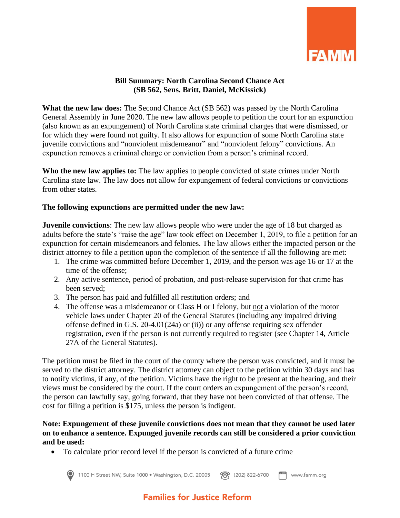

## **Bill Summary: North Carolina Second Chance Act (SB 562, Sens. Britt, Daniel, McKissick)**

**What the new law does:** The Second Chance Act (SB 562) was passed by the North Carolina General Assembly in June 2020. The new law allows people to petition the court for an expunction (also known as an expungement) of North Carolina state criminal charges that were dismissed, or for which they were found not guilty. It also allows for expunction of some North Carolina state juvenile convictions and "nonviolent misdemeanor" and "nonviolent felony" convictions. An expunction removes a criminal charge or conviction from a person's criminal record.

**Who the new law applies to:** The law applies to people convicted of state crimes under North Carolina state law. The law does not allow for expungement of federal convictions or convictions from other states.

#### **The following expunctions are permitted under the new law:**

**Juvenile convictions**: The new law allows people who were under the age of 18 but charged as adults before the state's "raise the age" law took effect on December 1, 2019, to file a petition for an expunction for certain misdemeanors and felonies. The law allows either the impacted person or the district attorney to file a petition upon the completion of the sentence if all the following are met:

- 1. The crime was committed before December 1, 2019, and the person was age 16 or 17 at the time of the offense;
- 2. Any active sentence, period of probation, and post-release supervision for that crime has been served;
- 3. The person has paid and fulfilled all restitution orders; and
- 4. The offense was a misdemeanor or Class H or I felony, but not a violation of the motor vehicle laws under Chapter 20 of the General Statutes (including any impaired driving offense defined in G.S. 20-4.01(24a) or (ii)) or any offense requiring sex offender registration, even if the person is not currently required to register (see Chapter 14, Article 27A of the General Statutes).

The petition must be filed in the court of the county where the person was convicted, and it must be served to the district attorney. The district attorney can object to the petition within 30 days and has to notify victims, if any, of the petition. Victims have the right to be present at the hearing, and their views must be considered by the court. If the court orders an expungement of the person's record, the person can lawfully say, going forward, that they have not been convicted of that offense. The cost for filing a petition is \$175, unless the person is indigent.

**Note: Expungement of these juvenile convictions does not mean that they cannot be used later on to enhance a sentence. Expunged juvenile records can still be considered a prior conviction and be used:**

• To calculate prior record level if the person is convicted of a future crime



1100 H Street NW, Suite 1000 • Washington, D.C. 20005  $F^{\text{ax}}$  www.famm.org **??** (202) 822-6700

# **Families for Justice Reform**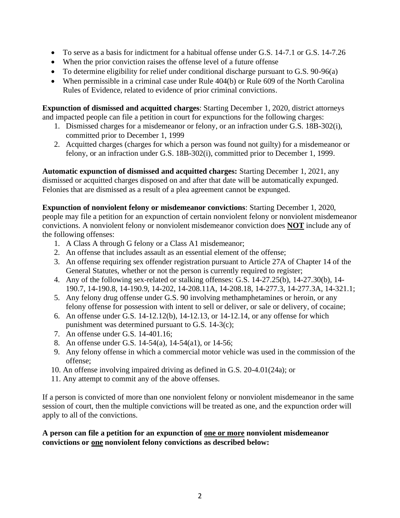- To serve as a basis for indictment for a habitual offense under G.S. 14-7.1 or G.S. 14-7.26
- When the prior conviction raises the offense level of a future offense
- To determine eligibility for relief under conditional discharge pursuant to G.S. 90-96(a)
- When permissible in a criminal case under Rule 404(b) or Rule 609 of the North Carolina Rules of Evidence, related to evidence of prior criminal convictions.

**Expunction of dismissed and acquitted charges**: Starting December 1, 2020, district attorneys and impacted people can file a petition in court for expunctions for the following charges:

- 1. Dismissed charges for a misdemeanor or felony, or an infraction under G.S. 18B-302(i), committed prior to December 1, 1999
- 2. Acquitted charges (charges for which a person was found not guilty) for a misdemeanor or felony, or an infraction under G.S. 18B-302(i), committed prior to December 1, 1999.

**Automatic expunction of dismissed and acquitted charges:** Starting December 1, 2021, any dismissed or acquitted charges disposed on and after that date will be automatically expunged. Felonies that are dismissed as a result of a plea agreement cannot be expunged.

**Expunction of nonviolent felony or misdemeanor convictions**: Starting December 1, 2020, people may file a petition for an expunction of certain nonviolent felony or nonviolent misdemeanor convictions. A nonviolent felony or nonviolent misdemeanor conviction does **NOT** include any of the following offenses:

- 1. A Class A through G felony or a Class A1 misdemeanor;
- 2. An offense that includes assault as an essential element of the offense;
- 3. An offense requiring sex offender registration pursuant to Article 27A of Chapter 14 of the General Statutes, whether or not the person is currently required to register;
- 4. Any of the following sex-related or stalking offenses: G.S. 14-27.25(b), 14-27.30(b), 14- 190.7, 14-190.8, 14-190.9, 14-202, 14-208.11A, 14-208.18, 14-277.3, 14-277.3A, 14-321.1;
- 5. Any felony drug offense under G.S. 90 involving methamphetamines or heroin, or any felony offense for possession with intent to sell or deliver, or sale or delivery, of cocaine;
- 6. An offense under G.S. 14-12.12(b), 14-12.13, or 14-12.14, or any offense for which punishment was determined pursuant to G.S. 14-3(c);
- 7. An offense under G.S. 14-401.16;
- 8. An offense under G.S. 14-54(a), 14-54(a1), or 14-56;
- 9. Any felony offense in which a commercial motor vehicle was used in the commission of the offense;
- 10. An offense involving impaired driving as defined in G.S. 20-4.01(24a); or
- 11. Any attempt to commit any of the above offenses.

If a person is convicted of more than one nonviolent felony or nonviolent misdemeanor in the same session of court, then the multiple convictions will be treated as one, and the expunction order will apply to all of the convictions.

**A person can file a petition for an expunction of one or more nonviolent misdemeanor convictions or one nonviolent felony convictions as described below:**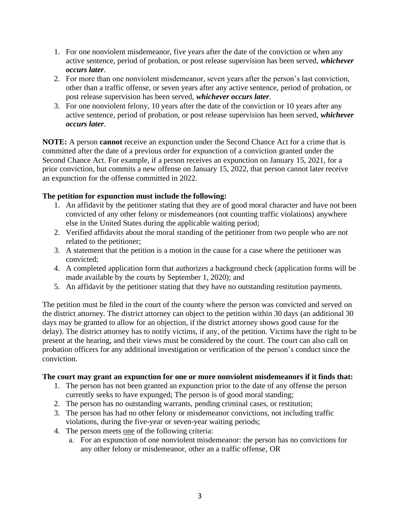- 1. For one nonviolent misdemeanor, five years after the date of the conviction or when any active sentence, period of probation, or post release supervision has been served, *whichever occurs later*.
- 2. For more than one nonviolent misdemeanor, seven years after the person's last conviction, other than a traffic offense, or seven years after any active sentence, period of probation, or post release supervision has been served, *whichever occurs later*.
- 3. For one nonviolent felony, 10 years after the date of the conviction or 10 years after any active sentence, period of probation, or post release supervision has been served, *whichever occurs later*.

**NOTE:** A person **cannot** receive an expunction under the Second Chance Act for a crime that is committed after the date of a previous order for expunction of a conviction granted under the Second Chance Act. For example, if a person receives an expunction on January 15, 2021, for a prior conviction, but commits a new offense on January 15, 2022, that person cannot later receive an expunction for the offense committed in 2022.

# **The petition for expunction must include the following:**

- 1. An affidavit by the petitioner stating that they are of good moral character and have not been convicted of any other felony or misdemeanors (not counting traffic violations) anywhere else in the United States during the applicable waiting period;
- 2. Verified affidavits about the moral standing of the petitioner from two people who are not related to the petitioner;
- 3. A statement that the petition is a motion in the cause for a case where the petitioner was convicted;
- 4. A completed application form that authorizes a background check (application forms will be made available by the courts by September 1, 2020); and
- 5. An affidavit by the petitioner stating that they have no outstanding restitution payments.

The petition must be filed in the court of the county where the person was convicted and served on the district attorney. The district attorney can object to the petition within 30 days (an additional 30 days may be granted to allow for an objection, if the district attorney shows good cause for the delay). The district attorney has to notify victims, if any, of the petition. Victims have the right to be present at the hearing, and their views must be considered by the court. The court can also call on probation officers for any additional investigation or verification of the person's conduct since the conviction.

## **The court may grant an expunction for one or more nonviolent misdemeanors if it finds that:**

- 1. The person has not been granted an expunction prior to the date of any offense the person currently seeks to have expunged; The person is of good moral standing;
- 2. The person has no outstanding warrants, pending criminal cases, or restitution;
- 3. The person has had no other felony or misdemeanor convictions, not including traffic violations, during the five-year or seven-year waiting periods;
- 4. The person meets one of the following criteria:
	- a. For an expunction of one nonviolent misdemeanor: the person has no convictions for any other felony or misdemeanor, other an a traffic offense, OR